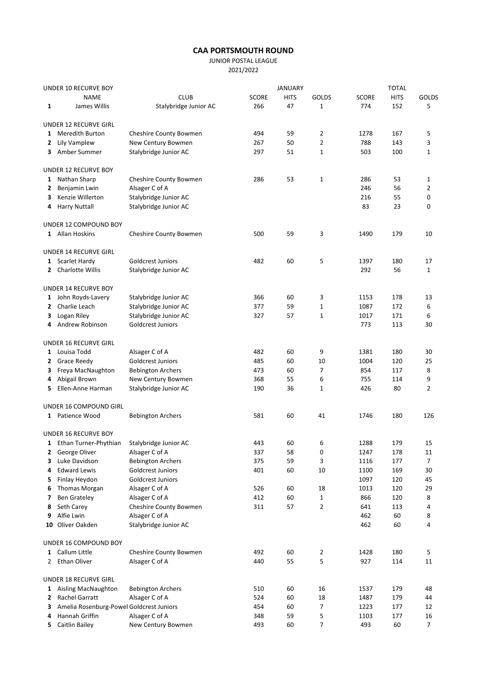## CAA PORTSMOUTH ROUND

JUNIOR POSTAL LEAGUE

2021/2022

| UNDER 10 RECURVE BOY |                                          |                                          |              | <b>JANUARY</b> |                | <b>TOTAL</b> |             |                |
|----------------------|------------------------------------------|------------------------------------------|--------------|----------------|----------------|--------------|-------------|----------------|
|                      | <b>NAME</b>                              | <b>CLUB</b>                              | <b>SCORE</b> | <b>HITS</b>    | GOLDS          | <b>SCORE</b> | <b>HITS</b> | <b>GOLDS</b>   |
| 1                    | James Willis                             | Stalybridge Junior AC                    | 266          | 47             | $\mathbf 1$    | 774          | 152         | 5              |
|                      | UNDER 12 RECURVE GIRL                    |                                          |              |                |                |              |             |                |
| 1                    | <b>Meredith Burton</b>                   | Cheshire County Bowmen                   | 494          | 59             | 2              | 1278         | 167         | 5              |
| 2                    | Lily Vamplew                             | New Century Bowmen                       | 267          | 50             | 2              | 788          | 143         | 3              |
| 3                    | Amber Summer                             | Stalybridge Junior AC                    | 297          | 51             | 1              | 503          | 100         | $\mathbf 1$    |
|                      | <b>UNDER 12 RECURVE BOY</b>              |                                          |              |                |                |              |             |                |
|                      | 1 Nathan Sharp                           | Cheshire County Bowmen                   | 286          | 53             | 1              | 286          | 53          | 1              |
| 2                    | Benjamin Lwin                            | Alsager C of A                           |              |                |                | 246          | 56          | 2              |
| 3                    | Kenzie Willerton                         | Stalybridge Junior AC                    |              |                |                | 216          | 55          | 0              |
| 4                    | <b>Harry Nuttall</b>                     | Stalybridge Junior AC                    |              |                |                | 83           | 23          | 0              |
|                      | UNDER 12 COMPOUND BOY                    |                                          |              |                |                |              |             |                |
|                      | 1 Allan Hoskins                          | Cheshire County Bowmen                   | 500          | 59             | 3              | 1490         | 179         | 10             |
|                      | <b>UNDER 14 RECURVE GIRL</b>             |                                          |              |                |                |              |             |                |
|                      | 1 Scarlet Hardy                          | Goldcrest Juniors                        | 482          | 60             | 5              | 1397         | 180         | 17             |
|                      | 2 Charlotte Willis                       | Stalybridge Junior AC                    |              |                |                | 292          | 56          | $\mathbf{1}$   |
|                      | <b>UNDER 14 RECURVE BOY</b>              |                                          |              |                |                |              |             |                |
|                      | 1 John Royds-Lavery                      | Stalybridge Junior AC                    | 366          | 60             | 3              | 1153         | 178         | 13             |
| 2                    | Charlie Leach                            | Stalybridge Junior AC                    | 377          | 59             | 1              | 1087         | 172         | 6              |
| 3                    | Logan Riley                              | Stalybridge Junior AC                    | 327          | 57             | 1              | 1017         | 171         | 6              |
|                      | 4 Andrew Robinson                        | Goldcrest Juniors                        |              |                |                | 773          | 113         | 30             |
|                      | UNDER 16 RECURVE GIRL                    |                                          |              |                |                |              |             |                |
|                      | 1 Louisa Todd                            | Alsager C of A                           | 482          | 60             | 9              | 1381         | 180         | 30             |
|                      | 2 Grace Reedy                            | Goldcrest Juniors                        | 485          | 60             | 10             | 1004         | 120         | 25             |
| 3                    | Freya MacNaughton                        | <b>Bebington Archers</b>                 | 473          | 60             | 7              | 854          | 117         | 8              |
| 4                    | Abigail Brown                            | New Century Bowmen                       | 368          | 55             | 6              | 755          | 114         | 9              |
| 5.                   | Ellen-Anne Harman                        | Stalybridge Junior AC                    | 190          | 36             | 1              | 426          | 80          | 2              |
|                      | UNDER 16 COMPOUND GIRL                   |                                          |              |                |                |              |             |                |
|                      | 1 Patience Wood                          | <b>Bebington Archers</b>                 | 581          | 60             | 41             | 1746         | 180         | 126            |
|                      | UNDER 16 RECURVE BOY                     |                                          |              |                |                |              |             |                |
|                      | 1 Ethan Turner-Phythian                  | Stalybridge Junior AC                    | 443          | 60             | 6              | 1288         | 179         | 15             |
|                      | 2 George Oliver                          | Alsager C of A                           | 337          | 58             | $\Omega$       | 1247         | 178         | 11             |
| з                    | Luke Davidson                            | <b>Bebington Archers</b>                 | 375          | 59             | 3              | 1116         | 177         | 7              |
| 4                    | <b>Edward Lewis</b>                      | Goldcrest Juniors                        | 401          | 60             | 10             | 1100         | 169         | 30             |
| 5                    | Finlay Heydon                            | Goldcrest Juniors                        |              |                |                | 1097         | 120         | 45             |
| 6                    | Thomas Morgan                            | Alsager C of A                           | 526          | 60             | 18             | 1013         | 120         | 29             |
| 7                    | <b>Ben Grateley</b>                      | Alsager C of A                           | 412          | 60             | $\mathbf{1}$   | 866          | 120         | 8              |
| 8                    | Seth Carey                               | Cheshire County Bowmen                   | 311          | 57             | $\overline{2}$ | 641          | 113         | 4              |
| 9                    | Alfie Lwin<br>10 Oliver Oakden           | Alsager C of A<br>Stalybridge Junior AC  |              |                |                | 462<br>462   | 60<br>60    | 8<br>4         |
|                      |                                          |                                          |              |                |                |              |             |                |
|                      | UNDER 16 COMPOUND BOY<br>1 Callum Little |                                          |              |                |                |              |             |                |
| 2                    | Ethan Oliver                             | Cheshire County Bowmen<br>Alsager C of A | 492<br>440   | 60<br>55       | 2<br>5         | 1428<br>927  | 180<br>114  | 5<br>11        |
|                      | UNDER 18 RECURVE GIRL                    |                                          |              |                |                |              |             |                |
|                      | 1 Aisling MacNaughton                    | <b>Bebington Archers</b>                 | 510          | 60             | 16             | 1537         | 179         | 48             |
| 2                    | Rachel Garratt                           | Alsager C of A                           | 524          | 60             | 18             | 1487         | 179         | 44             |
| з                    | Amelia Rosenburg-Powel Goldcrest Juniors |                                          | 454          | 60             | 7              | 1223         | 177         | 12             |
| 4                    | Hannah Griffin                           | Alsager C of A                           | 348          | 59             | 5              | 1103         | 177         | 16             |
|                      | 5 Caitlin Bailey                         | New Century Bowmen                       | 493          | 60             | 7              | 493          | 60          | $\overline{7}$ |